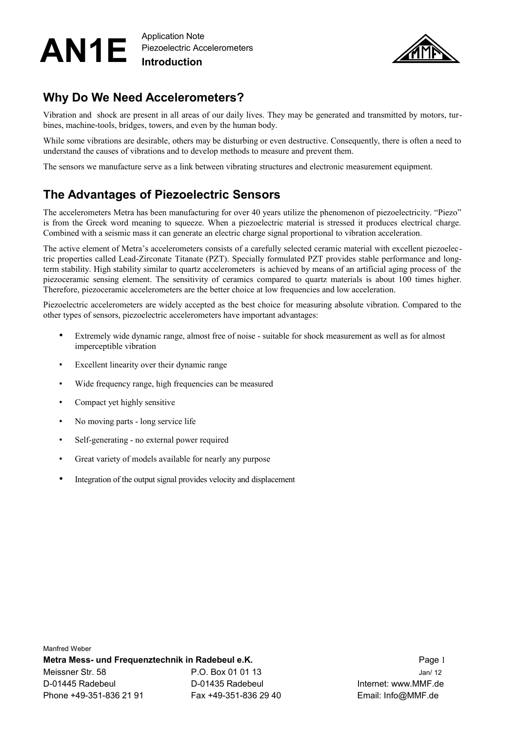#### AN1E Application Note Piezoelectric Accelerometers **Introduction**



## **Why Do We Need Accelerometers?**

Vibration and shock are present in all areas of our daily lives. They may be generated and transmitted by motors, turbines, machine-tools, bridges, towers, and even by the human body.

While some vibrations are desirable, others may be disturbing or even destructive. Consequently, there is often a need to understand the causes of vibrations and to develop methods to measure and prevent them.

The sensors we manufacture serve as a link between vibrating structures and electronic measurement equipment.

## **The Advantages of Piezoelectric Sensors**

The accelerometers Metra has been manufacturing for over 40 years utilize the phenomenon of piezoelectricity. "Piezo" is from the Greek word meaning to squeeze. When a piezoelectric material is stressed it produces electrical charge. Combined with a seismic mass it can generate an electric charge signal proportional to vibration acceleration.

The active element of Metra's accelerometers consists of a carefully selected ceramic material with excellent piezoelectric properties called Lead-Zirconate Titanate (PZT). Specially formulated PZT provides stable performance and longterm stability. High stability similar to quartz accelerometers is achieved by means of an artificial aging process of the piezoceramic sensing element. The sensitivity of ceramics compared to quartz materials is about 100 times higher. Therefore, piezoceramic accelerometers are the better choice at low frequencies and low acceleration.

Piezoelectric accelerometers are widely accepted as the best choice for measuring absolute vibration. Compared to the other types of sensors, piezoelectric accelerometers have important advantages:

- Extremely wide dynamic range, almost free of noise suitable for shock measurement as well as for almost imperceptible vibration
- Excellent linearity over their dynamic range
- Wide frequency range, high frequencies can be measured
- Compact yet highly sensitive
- No moving parts long service life
- Self-generating no external power required
- Great variety of models available for nearly any purpose
- Integration of the output signal provides velocity and displacement